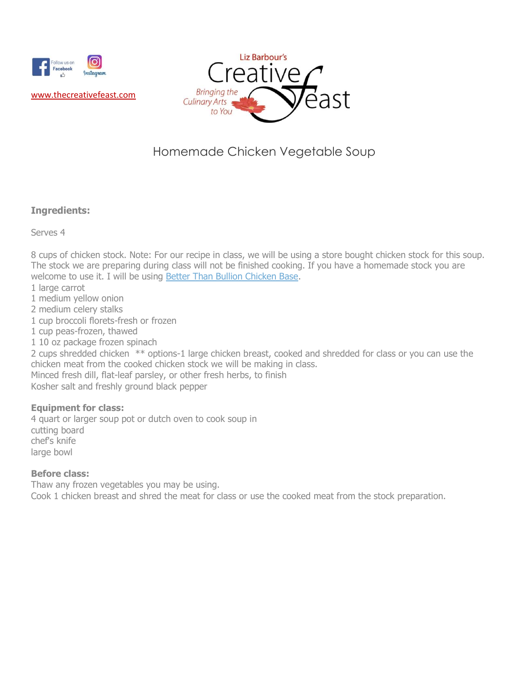



# Homemade Chicken Vegetable Soup

### **Ingredients:**

Serves 4

8 cups of chicken stock. Note: For our recipe in class, we will be using a store bought chicken stock for this soup. The stock we are preparing during class will not be finished cooking. If you have a homemade stock you are welcome to use it. I will be using [Better Than Bullion Chicken Base.](https://www.betterthanbouillon.com/)

- 1 large carrot
- 1 medium yellow onion
- 2 medium celery stalks
- 1 cup broccoli florets-fresh or frozen
- 1 cup peas-frozen, thawed
- 1 10 oz package frozen spinach

2 cups shredded chicken \*\* options-1 large chicken breast, cooked and shredded for class or you can use the chicken meat from the cooked chicken stock we will be making in class.

Minced fresh dill, flat-leaf parsley, or other fresh herbs, to finish Kosher salt and freshly ground black pepper

#### **Equipment for class:**

4 quart or larger soup pot or dutch oven to cook soup in cutting board chef's knife large bowl

#### **Before class:**

Thaw any frozen vegetables you may be using. Cook 1 chicken breast and shred the meat for class or use the cooked meat from the stock preparation.